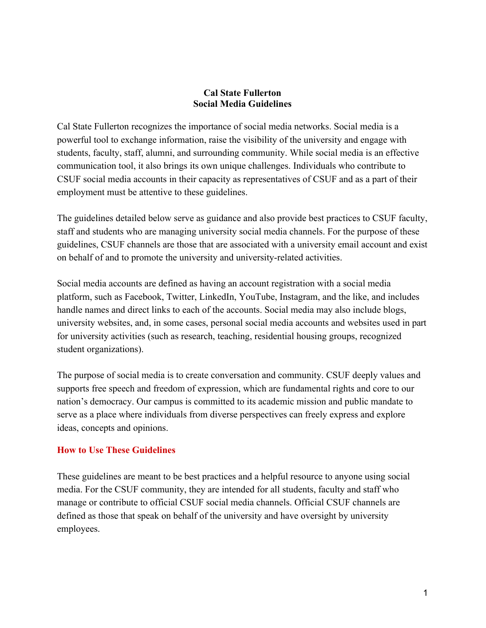## **Cal State Fullerton Social Media Guidelines**

Cal State Fullerton recognizes the importance of social media networks. Social media is a powerful tool to exchange information, raise the visibility of the university and engage with students, faculty, staff, alumni, and surrounding community. While social media is an effective communication tool, it also brings its own unique challenges. Individuals who contribute to CSUF social media accounts in their capacity as representatives of CSUF and as a part of their employment must be attentive to these guidelines.

The guidelines detailed below serve as guidance and also provide best practices to CSUF faculty, staff and students who are managing university social media channels. For the purpose of these guidelines, CSUF channels are those that are associated with a university email account and exist on behalf of and to promote the university and university-related activities.

Social media accounts are defined as having an account registration with a social media platform, such as Facebook, Twitter, LinkedIn, YouTube, Instagram, and the like, and includes handle names and direct links to each of the accounts. Social media may also include blogs, university websites, and, in some cases, personal social media accounts and websites used in part for university activities (such as research, teaching, residential housing groups, recognized student organizations).

The purpose of social media is to create conversation and community. CSUF deeply values and supports free speech and freedom of expression, which are fundamental rights and core to our nation's democracy. Our campus is committed to its academic mission and public mandate to serve as a place where individuals from diverse perspectives can freely express and explore ideas, concepts and opinions.

## **How to Use These Guidelines**

These guidelines are meant to be best practices and a helpful resource to anyone using social media. For the CSUF community, they are intended for all students, faculty and staff who manage or contribute to official CSUF social media channels. Official CSUF channels are defined as those that speak on behalf of the university and have oversight by university employees.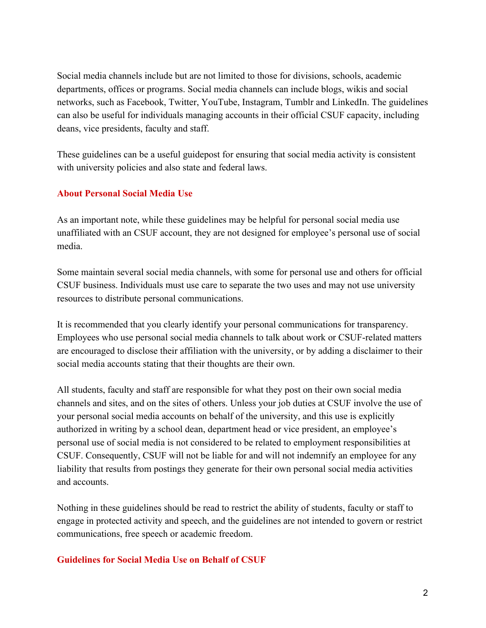Social media channels include but are not limited to those for divisions, schools, academic departments, offices or programs. Social media channels can include blogs, wikis and social networks, such as Facebook, Twitter, YouTube, Instagram, Tumblr and LinkedIn. The guidelines can also be useful for individuals managing accounts in their official CSUF capacity, including deans, vice presidents, faculty and staff.

These guidelines can be a useful guidepost for ensuring that social media activity is consistent with university policies and also state and federal laws.

# **About Personal Social Media Use**

As an important note, while these guidelines may be helpful for personal social media use unaffiliated with an CSUF account, they are not designed for employee's personal use of social media.

Some maintain several social media channels, with some for personal use and others for official CSUF business. Individuals must use care to separate the two uses and may not use university resources to distribute personal communications.

It is recommended that you clearly identify your personal communications for transparency. Employees who use personal social media channels to talk about work or CSUF-related matters are encouraged to disclose their affiliation with the university, or by adding a disclaimer to their social media accounts stating that their thoughts are their own.

All students, faculty and staff are responsible for what they post on their own social media channels and sites, and on the sites of others. Unless your job duties at CSUF involve the use of your personal social media accounts on behalf of the university, and this use is explicitly authorized in writing by a school dean, department head or vice president, an employee's personal use of social media is not considered to be related to employment responsibilities at CSUF. Consequently, CSUF will not be liable for and will not indemnify an employee for any liability that results from postings they generate for their own personal social media activities and accounts.

Nothing in these guidelines should be read to restrict the ability of students, faculty or staff to engage in protected activity and speech, and the guidelines are not intended to govern or restrict communications, free speech or academic freedom.

## **Guidelines for Social Media Use on Behalf of CSUF**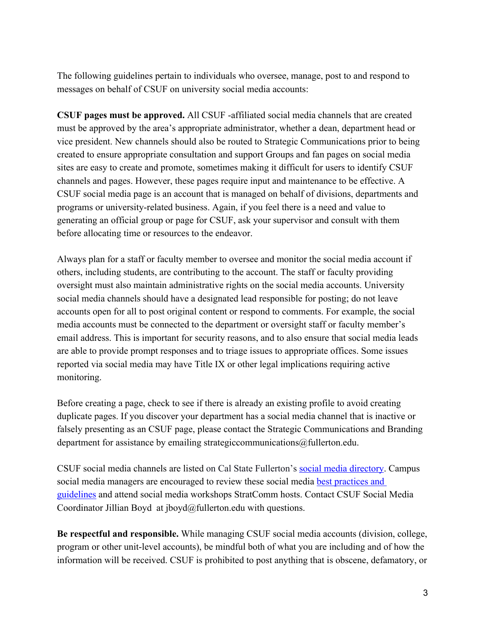The following guidelines pertain to individuals who oversee, manage, post to and respond to messages on behalf of CSUF on university social media accounts:

**CSUF pages must be approved.** All CSUF -affiliated social media channels that are created must be approved by the area's appropriate administrator, whether a dean, department head or vice president. New channels should also be routed to Strategic Communications prior to being created to ensure appropriate consultation and support Groups and fan pages on social media sites are easy to create and promote, sometimes making it difficult for users to identify CSUF channels and pages. However, these pages require input and maintenance to be effective. A CSUF social media page is an account that is managed on behalf of divisions, departments and programs or university-related business. Again, if you feel there is a need and value to generating an official group or page for CSUF, ask your supervisor and consult with them before allocating time or resources to the endeavor.

Always plan for a staff or faculty member to oversee and monitor the social media account if others, including students, are contributing to the account. The staff or faculty providing oversight must also maintain administrative rights on the social media accounts. University social media channels should have a designated lead responsible for posting; do not leave accounts open for all to post original content or respond to comments. For example, the social media accounts must be connected to the department or oversight staff or faculty member's email address. This is important for security reasons, and to also ensure that social media leads are able to provide prompt responses and to triage issues to appropriate offices. Some issues reported via social media may have Title IX or other legal implications requiring active monitoring.

Before creating a page, check to see if there is already an existing profile to avoid creating duplicate pages. If you discover your department has a social media channel that is inactive or falsely presenting as an CSUF page, please contact the Strategic Communications and Branding department for assistance by emailing strategiccommunications@fullerton.edu.

CSUF social media channels are listed on Cal State Fullerton's social media directory. Campus social media managers are encouraged to review these social media best practices and guidelines and attend social media workshops StratComm hosts. Contact CSUF Social Media Coordinator Jillian Boyd at jboyd@fullerton.edu with questions.

**Be respectful and responsible.** While managing CSUF social media accounts (division, college, program or other unit-level accounts), be mindful both of what you are including and of how the information will be received. CSUF is prohibited to post anything that is obscene, defamatory, or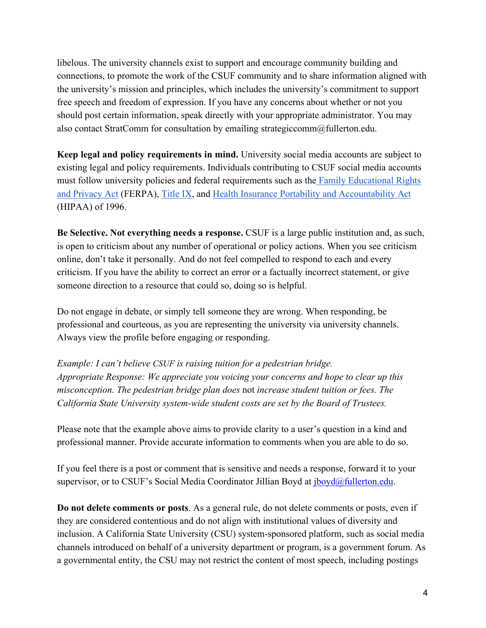libelous. The university channels exist to support and encourage community building and connections, to promote the work of the CSUF community and to share information aligned with the university's mission and principles, which includes the university's commitment to support free speech and freedom of expression. If you have any concerns about whether or not you should post certain information, speak directly with your appropriate administrator. You may also contact StratComm for consultation by emailing strategiccomm@fullerton.edu.

**Keep legal and policy requirements in mind.** University social media accounts are subject to existing legal and policy requirements. Individuals contributing to CSUF social media accounts must follow university policies and federal requirements such as the Family Educational Rights and Privacy Act (FERPA), Title IX, and Health Insurance Portability and Accountability Act (HIPAA) of 1996.

**Be Selective. Not everything needs a response.** CSUF is a large public institution and, as such, is open to criticism about any number of operational or policy actions. When you see criticism online, don't take it personally. And do not feel compelled to respond to each and every criticism. If you have the ability to correct an error or a factually incorrect statement, or give someone direction to a resource that could so, doing so is helpful.

Do not engage in debate, or simply tell someone they are wrong. When responding, be professional and courteous, as you are representing the university via university channels. Always view the profile before engaging or responding.

*Example: I can't believe CSUF is raising tuition for a pedestrian bridge. Appropriate Response: We appreciate you voicing your concerns and hope to clear up this misconception. The pedestrian bridge plan does* not *increase student tuition or fees. The California State University system-wide student costs are set by the Board of Trustees.*

Please note that the example above aims to provide clarity to a user's question in a kind and professional manner. Provide accurate information to comments when you are able to do so.

If you feel there is a post or comment that is sensitive and needs a response, forward it to your supervisor, or to CSUF's Social Media Coordinator Jillian Boyd at  $\frac{1}{10}$  boyd $\frac{1}{2}$ fullerton.edu.

**Do not delete comments or posts**. As a general rule, do not delete comments or posts, even if they are considered contentious and do not align with institutional values of diversity and inclusion. A California State University (CSU) system-sponsored platform, such as social media channels introduced on behalf of a university department or program, is a government forum. As a governmental entity, the CSU may not restrict the content of most speech, including postings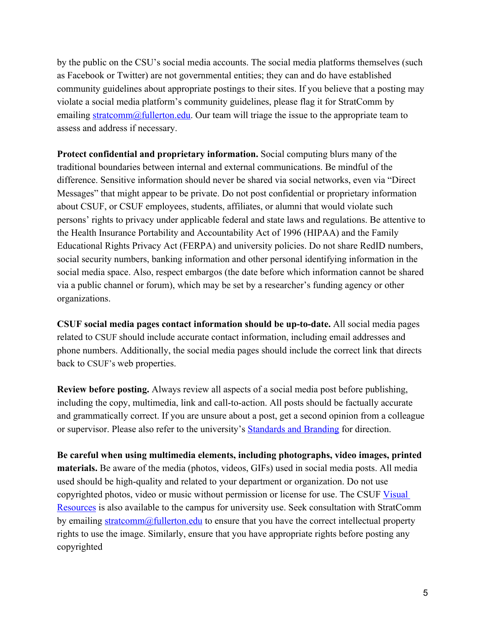by the public on the CSU's social media accounts. The social media platforms themselves (such as Facebook or Twitter) are not governmental entities; they can and do have established community guidelines about appropriate postings to their sites. If you believe that a posting may violate a social media platform's community guidelines, please flag it for StratComm by emailing stratcomm@fullerton.edu. Our team will triage the issue to the appropriate team to assess and address if necessary.

**Protect confidential and proprietary information.** Social computing blurs many of the traditional boundaries between internal and external communications. Be mindful of the difference. Sensitive information should never be shared via social networks, even via "Direct Messages" that might appear to be private. Do not post confidential or proprietary information about CSUF, or CSUF employees, students, affiliates, or alumni that would violate such persons' rights to privacy under applicable federal and state laws and regulations. Be attentive to the Health Insurance Portability and Accountability Act of 1996 (HIPAA) and the Family Educational Rights Privacy Act (FERPA) and university policies. Do not share RedID numbers, social security numbers, banking information and other personal identifying information in the social media space. Also, respect embargos (the date before which information cannot be shared via a public channel or forum), which may be set by a researcher's funding agency or other organizations.

**CSUF social media pages contact information should be up-to-date.** All social media pages related to CSUF should include accurate contact information, including email addresses and phone numbers. Additionally, the social media pages should include the correct link that directs back to CSUF's web properties.

**Review before posting.** Always review all aspects of a social media post before publishing, including the copy, multimedia, link and call-to-action. All posts should be factually accurate and grammatically correct. If you are unsure about a post, get a second opinion from a colleague or supervisor. Please also refer to the university's Standards and Branding for direction.

**Be careful when using multimedia elements, including photographs, video images, printed materials.** Be aware of the media (photos, videos, GIFs) used in social media posts. All media used should be high-quality and related to your department or organization. Do not use copyrighted photos, video or music without permission or license for use. The CSUF Visual Resources is also available to the campus for university use. Seek consultation with StratComm by emailing stratcomm@fullerton.edu to ensure that you have the correct intellectual property rights to use the image. Similarly, ensure that you have appropriate rights before posting any copyrighted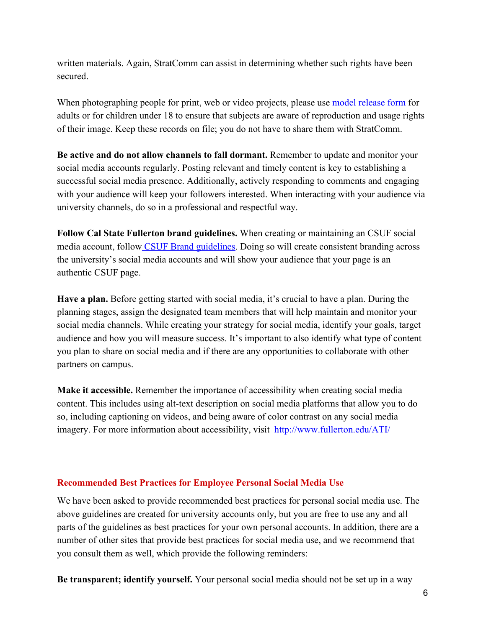written materials. Again, StratComm can assist in determining whether such rights have been secured.

When photographing people for print, web or video projects, please use model release form for adults or for children under 18 to ensure that subjects are aware of reproduction and usage rights of their image. Keep these records on file; you do not have to share them with StratComm.

**Be active and do not allow channels to fall dormant.** Remember to update and monitor your social media accounts regularly. Posting relevant and timely content is key to establishing a successful social media presence. Additionally, actively responding to comments and engaging with your audience will keep your followers interested. When interacting with your audience via university channels, do so in a professional and respectful way.

**Follow Cal State Fullerton brand guidelines.** When creating or maintaining an CSUF social media account, follow CSUF Brand guidelines. Doing so will create consistent branding across the university's social media accounts and will show your audience that your page is an authentic CSUF page.

**Have a plan.** Before getting started with social media, it's crucial to have a plan. During the planning stages, assign the designated team members that will help maintain and monitor your social media channels. While creating your strategy for social media, identify your goals, target audience and how you will measure success. It's important to also identify what type of content you plan to share on social media and if there are any opportunities to collaborate with other partners on campus.

**Make it accessible.** Remember the importance of accessibility when creating social media content. This includes using alt-text description on social media platforms that allow you to do so, including captioning on videos, and being aware of color contrast on any social media imagery. For more information about accessibility, visit http://www.fullerton.edu/ATI/

#### **Recommended Best Practices for Employee Personal Social Media Use**

We have been asked to provide recommended best practices for personal social media use. The above guidelines are created for university accounts only, but you are free to use any and all parts of the guidelines as best practices for your own personal accounts. In addition, there are a number of other sites that provide best practices for social media use, and we recommend that you consult them as well, which provide the following reminders:

**Be transparent; identify yourself.** Your personal social media should not be set up in a way